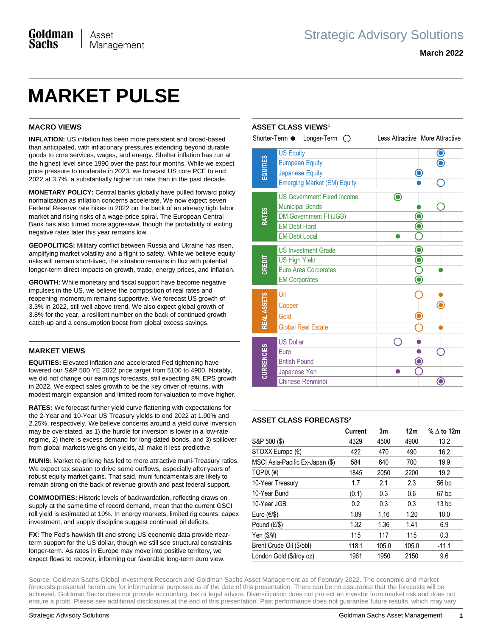# **MARKET PULSE**

# **MACRO VIEWS**

**INFLATION:** US inflation has been more persistent and broad-based than anticipated, with inflationary pressures extending beyond durable goods to core services, wages, and energy. Shelter inflation has run at the highest level since 1990 over the past four months. While we expect price pressure to moderate in 2023, we forecast US core PCE to end 2022 at 3.7%, a substantially higher run rate than in the past decade.

**MONETARY POLICY:** Central banks globally have pulled forward policy normalization as inflation concerns accelerate. We now expect seven Federal Reserve rate hikes in 2022 on the back of an already tight labor market and rising risks of a wage-price spiral. The European Central Bank has also turned more aggressive, though the probability of exiting negative rates later this year remains low.

**GEOPOLITICS:** Military conflict between Russia and Ukraine has risen, amplifying market volatility and a flight to safety. While we believe equity risks will remain short-lived, the situation remains in flux with potential longer-term direct impacts on growth, trade, energy prices, and inflation.

**GROWTH:** While monetary and fiscal support have become negative impulses in the US, we believe the composition of real rates and reopening momentum remains supportive. We forecast US growth of 3.3% in 2022, still well above trend. We also expect global growth of 3.8% for the year, a resilient number on the back of continued growth catch-up and a consumption boost from global excess savings.

### **MARKET VIEWS**

**EQUITIES:** Elevated inflation and accelerated Fed tightening have lowered our S&P 500 YE 2022 price target from 5100 to 4900. Notably, we did not change our earnings forecasts, still expecting 8% EPS growth in 2022. We expect sales growth to be the key driver of returns, with modest margin expansion and limited room for valuation to move higher.

**RATES:** We forecast further yield curve flattening with expectations for the 2-Year and 10-Year US Treasury yields to end 2022 at 1.90% and 2.25%, respectively. We believe concerns around a yield curve inversion may be overstated, as 1) the hurdle for inversion is lower in a low-rate regime, 2) there is excess demand for long-dated bonds, and 3) spillover from global markets weighs on yields, all make it less predictive.

**MUNIS:** Market re-pricing has led to more attractive muni-Treasury ratios. We expect tax season to drive some outflows, especially after years of robust equity market gains. That said, muni fundamentals are likely to remain strong on the back of revenue growth and past federal support.

**COMMODITIES:** Historic levels of backwardation, reflecting draws on supply at the same time of record demand, mean that the current GSCI roll yield is estimated at 10%. In energy markets, limited rig counts, capex investment, and supply discipline suggest continued oil deficits.

**FX:** The Fed's hawkish tilt and strong US economic data provide nearterm support for the US dollar, though we still see structural constraints longer-term. As rates in Europe may move into positive territory, we expect flows to recover, informing our favorable long-term euro view.

# **ASSET CLASS VIEWS<sup>1</sup>**

|                   | Shorter-Term • Longer-Term (               |   | Less Attractive More Attractive |
|-------------------|--------------------------------------------|---|---------------------------------|
| EQUITIES          | <b>US Equity</b><br><b>European Equity</b> |   |                                 |
|                   | <b>Japanese Equity</b>                     |   |                                 |
|                   | <b>Emerging Market (EM) Equity</b>         |   |                                 |
| <b>RATES</b>      | <b>US Government Fixed Income</b>          | O |                                 |
|                   | <b>Municipal Bonds</b>                     |   |                                 |
|                   | DM Government FI (JGB)                     |   |                                 |
|                   | <b>EM Debt Hard</b>                        |   |                                 |
|                   | <b>EM Debt Local</b>                       |   |                                 |
| CREDIT            | <b>US Investment Grade</b>                 |   |                                 |
|                   | <b>US High Yield</b>                       |   |                                 |
|                   | Euro Area Corporates                       |   |                                 |
|                   | <b>EM Corporates</b>                       |   |                                 |
| REAL ASSETS       | Oil                                        |   |                                 |
|                   | Copper                                     |   |                                 |
|                   | Gold                                       |   |                                 |
|                   | <b>Global Real Estate</b>                  |   |                                 |
| <b>CURRENCIES</b> | <b>US Dollar</b>                           |   |                                 |
|                   | Euro                                       |   |                                 |
|                   | <b>British Pound</b>                       |   |                                 |
|                   | Japanese Yen                               |   |                                 |
|                   | Chinese Renminbi                           |   |                                 |

# **ASSET CLASS FORECASTS²**

|                                 | Current | 3m    | 12 <sub>m</sub> | % $\Delta$ to 12m |
|---------------------------------|---------|-------|-----------------|-------------------|
| S&P 500 (\$)                    | 4329    | 4500  | 4900            | 13.2              |
| STOXX Europe $(\epsilon)$       | 422     | 470   | 490             | 16.2              |
| MSCI Asia-Pacific Ex-Japan (\$) | 584     | 640   | 700             | 19.9              |
| TOPIX (¥)                       | 1845    | 2050  | 2200            | 19.2              |
| 10-Year Treasury                | 1.7     | 2.1   | 2.3             | 56 bp             |
| 10-Year Bund                    | (0.1)   | 0.3   | 0.6             | 67 bp             |
| 10-Year JGB                     | 0.2     | 0.3   | 0.3             | 13 <sub>bp</sub>  |
| Euro $(\epsilon/\$              | 1.09    | 1.16  | 1.20            | 10.0              |
| Pound (£/\$)                    | 1.32    | 1.36  | 1.41            | 6.9               |
| Yen $($/4)$                     | 115     | 117   | 115             | 0.3               |
| Brent Crude Oil (\$/bbl)        | 118.1   | 105.0 | 105.0           | $-11.1$           |
| London Gold (\$/troy oz)        | 1961    | 1950  | 2150            | 9.6               |

Source: Goldman Sachs Global Investment Research and Goldman Sachs Asset Management as of February 2022. The economic and market forecasts presented herein are for informational purposes as of the date of this presentation. There can be no assurance that the forecasts will be achieved. Goldman Sachs does not provide accounting, tax or legal advice. Diversification does not protect an investor from market risk and does not ensure a profit. Please see additional disclosures at the end of this presentation. Past performance does not guarantee future results, which may vary.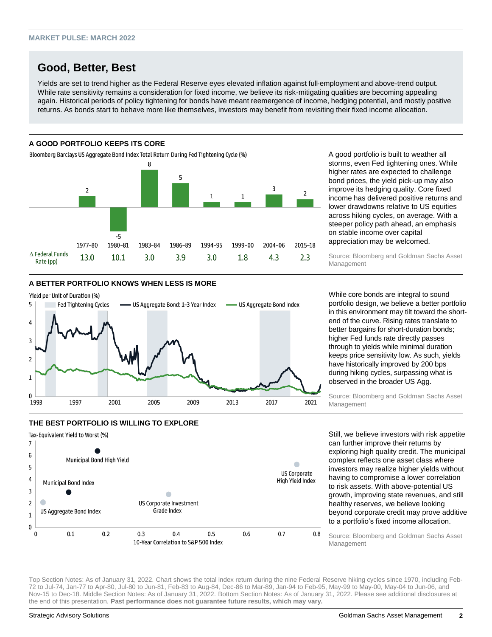# **Good, Better, Best**

Yields are set to trend higher as the Federal Reserve eyes elevated inflation against full-employment and above-trend output. While rate sensitivity remains a consideration for fixed income, we believe its risk-mitigating qualities are becoming appealing again. Historical periods of policy tightening for bonds have meant reemergence of income, hedging potential, and mostly positive returns. As bonds start to behave more like themselves, investors may benefit from revisiting their fixed income allocation.

# **A GOOD PORTFOLIO KEEPS ITS CORE**

Bloomberg Barclays US Aggregate Bond Index Total Return During Fed Tightening Cycle (%)



A good portfolio is built to weather all storms, even Fed tightening ones. While higher rates are expected to challenge bond prices, the yield pick-up may also improve its hedging quality. Core fixed income has delivered positive returns and lower drawdowns relative to US equities across hiking cycles, on average. With a steeper policy path ahead, an emphasis on stable income over capital appreciation may be welcomed.

Source: Bloomberg and Goldman Sachs Asset Management

# **A BETTER PORTFOLIO KNOWS WHEN LESS IS MORE**



While core bonds are integral to sound portfolio design, we believe a better portfolio in this environment may tilt toward the shortend of the curve. Rising rates translate to better bargains for short-duration bonds; higher Fed funds rate directly passes through to yields while minimal duration keeps price sensitivity low. As such, yields have historically improved by 200 bps during hiking cycles, surpassing what is observed in the broader US Agg.

Source: Bloomberg and Goldman Sachs Asset Management

# **THE BEST PORTFOLIO IS WILLING TO EXPLORE** Tax-Equivalent Yield to Worst (%)



Still, we believe investors with risk appetite can further improve their returns by exploring high quality credit. The municipal complex reflects one asset class where investors may realize higher yields without having to compromise a lower correlation to risk assets. With above-potential US growth, improving state revenues, and still healthy reserves, we believe looking beyond corporate credit may prove additive to a portfolio's fixed income allocation.

Source: Bloomberg and Goldman Sachs Asset Management

Top Section Notes: As of January 31, 2022. Chart shows the total index return during the nine Federal Reserve hiking cycles since 1970, including Feb-72 to Jul-74, Jan-77 to Apr-80, Jul-80 to Jun-81, Feb-83 to Aug-84, Dec-86 to Mar-89, Jan-94 to Feb-95, May-99 to May-00, May-04 to Jun-06, and Nov-15 to Dec-18. Middle Section Notes: As of January 31, 2022. Bottom Section Notes: As of January 31, 2022. Please see additional disclosures at the end of this presentation. **Past performance does not guarantee future results, which may vary.**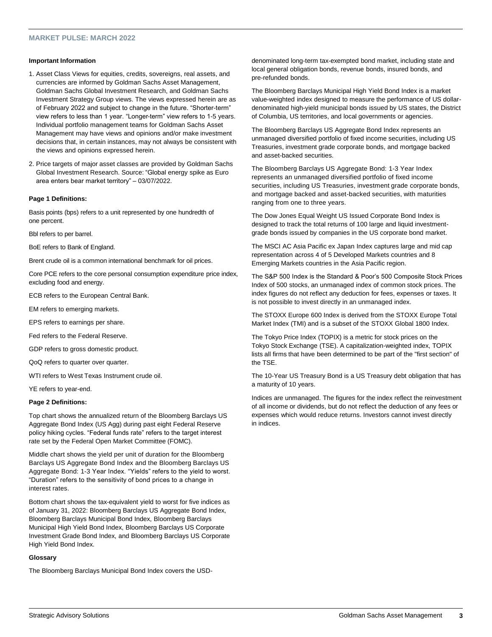#### **MARKET PULSE: MARCH 2022**

#### **Important Information**

- 1. Asset Class Views for equities, credits, sovereigns, real assets, and currencies are informed by Goldman Sachs Asset Management, Goldman Sachs Global Investment Research, and Goldman Sachs Investment Strategy Group views. The views expressed herein are as of February 2022 and subject to change in the future. "Shorter-term" view refers to less than 1 year. "Longer-term" view refers to 1-5 years. Individual portfolio management teams for Goldman Sachs Asset Management may have views and opinions and/or make investment decisions that, in certain instances, may not always be consistent with the views and opinions expressed herein.
- 2. Price targets of major asset classes are provided by Goldman Sachs Global Investment Research. Source: "Global energy spike as Euro area enters bear market territory" – 03/07/2022.

#### **Page 1 Definitions:**

Basis points (bps) refers to a unit represented by one hundredth of one percent.

Bbl refers to per barrel.

BoE refers to Bank of England.

Brent crude oil is a common international benchmark for oil prices.

Core PCE refers to the core personal consumption expenditure price index, excluding food and energy.

ECB refers to the European Central Bank.

EM refers to emerging markets.

EPS refers to earnings per share.

Fed refers to the Federal Reserve.

GDP refers to gross domestic product.

QoQ refers to quarter over quarter.

WTI refers to West Texas Instrument crude oil.

YE refers to year-end.

#### **Page 2 Definitions:**

Top chart shows the annualized return of the Bloomberg Barclays US Aggregate Bond Index (US Agg) during past eight Federal Reserve policy hiking cycles. "Federal funds rate" refers to the target interest rate set by the Federal Open Market Committee (FOMC).

Middle chart shows the yield per unit of duration for the Bloomberg Barclays US Aggregate Bond Index and the Bloomberg Barclays US Aggregate Bond: 1-3 Year Index. "Yields" refers to the yield to worst. "Duration" refers to the sensitivity of bond prices to a change in interest rates.

Bottom chart shows the tax-equivalent yield to worst for five indices as of January 31, 2022: Bloomberg Barclays US Aggregate Bond Index, Bloomberg Barclays Municipal Bond Index, Bloomberg Barclays Municipal High Yield Bond Index, Bloomberg Barclays US Corporate Investment Grade Bond Index, and Bloomberg Barclays US Corporate High Yield Bond Index.

#### **Glossary**

The Bloomberg Barclays Municipal Bond Index covers the USD-

denominated long-term tax-exempted bond market, including state and local general obligation bonds, revenue bonds, insured bonds, and pre-refunded bonds.

The Bloomberg Barclays Municipal High Yield Bond Index is a market value-weighted index designed to measure the performance of US dollardenominated high-yield municipal bonds issued by US states, the District of Columbia, US territories, and local governments or agencies.

The Bloomberg Barclays US Aggregate Bond Index represents an unmanaged diversified portfolio of fixed income securities, including US Treasuries, investment grade corporate bonds, and mortgage backed and asset-backed securities.

The Bloomberg Barclays US Aggregate Bond: 1-3 Year Index represents an unmanaged diversified portfolio of fixed income securities, including US Treasuries, investment grade corporate bonds, and mortgage backed and asset-backed securities, with maturities ranging from one to three years.

The Dow Jones Equal Weight US Issued Corporate Bond Index is designed to track the total returns of 100 large and liquid investmentgrade bonds issued by companies in the US corporate bond market.

The MSCI AC Asia Pacific ex Japan Index captures large and mid cap representation across 4 of 5 Developed Markets countries and 8 Emerging Markets countries in the Asia Pacific region.

The S&P 500 Index is the Standard & Poor's 500 Composite Stock Prices Index of 500 stocks, an unmanaged index of common stock prices. The index figures do not reflect any deduction for fees, expenses or taxes. It is not possible to invest directly in an unmanaged index.

The STOXX Europe 600 Index is derived from the STOXX Europe Total Market Index (TMI) and is a subset of the STOXX Global 1800 Index.

The Tokyo Price Index (TOPIX) is a metric for stock prices on the Tokyo Stock Exchange (TSE). A capitalization-weighted index, TOPIX lists all firms that have been determined to be part of the "first section" of the TSE.

The 10-Year US Treasury Bond is a US Treasury debt obligation that has a maturity of 10 years.

Indices are unmanaged. The figures for the index reflect the reinvestment of all income or dividends, but do not reflect the deduction of any fees or expenses which would reduce returns. Investors cannot invest directly in indices.